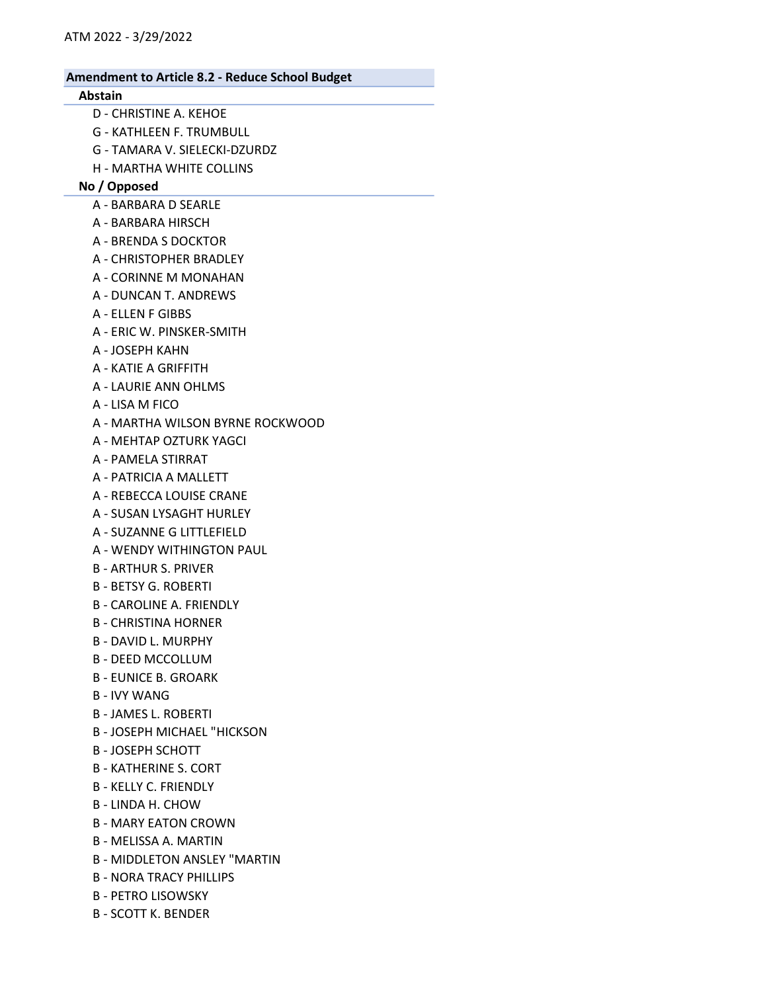## Abstain

- D CHRISTINE A. KEHOE
- G KATHLEEN F. TRUMBULL
- G TAMARA V. SIELECKI-DZURDZ
- H MARTHA WHITE COLLINS

## No / Opposed

- A BARBARA D SEARLE
- A BARBARA HIRSCH
- A BRENDA S DOCKTOR
- A CHRISTOPHER BRADLEY
- A CORINNE M MONAHAN
- A DUNCAN T. ANDREWS
- A ELLEN F GIBBS
- A ERIC W. PINSKER-SMITH
- A JOSEPH KAHN
- A KATIE A GRIFFITH
- A LAURIE ANN OHLMS
- A LISA M FICO
- A MARTHA WILSON BYRNE ROCKWOOD
- A MEHTAP OZTURK YAGCI
- A PAMELA STIRRAT
- A PATRICIA A MALLETT
- A REBECCA LOUISE CRANE
- A SUSAN LYSAGHT HURLEY
- A SUZANNE G LITTLEFIELD
- A WENDY WITHINGTON PAUL
- B ARTHUR S. PRIVER
- B BETSY G. ROBERTI
- B CAROLINE A. FRIENDLY
- B CHRISTINA HORNER
- B DAVID L. MURPHY
- B DEED MCCOLLUM
- B EUNICE B. GROARK
- B IVY WANG
- B JAMES L. ROBERTI
- B JOSEPH MICHAEL "HICKSON
- B JOSEPH SCHOTT
- B KATHERINE S. CORT
- B KELLY C. FRIENDLY
- B LINDA H. CHOW
- B MARY EATON CROWN
- B MELISSA A. MARTIN
- B MIDDLETON ANSLEY "MARTIN
- B NORA TRACY PHILLIPS
- B PETRO LISOWSKY
- B SCOTT K. BENDER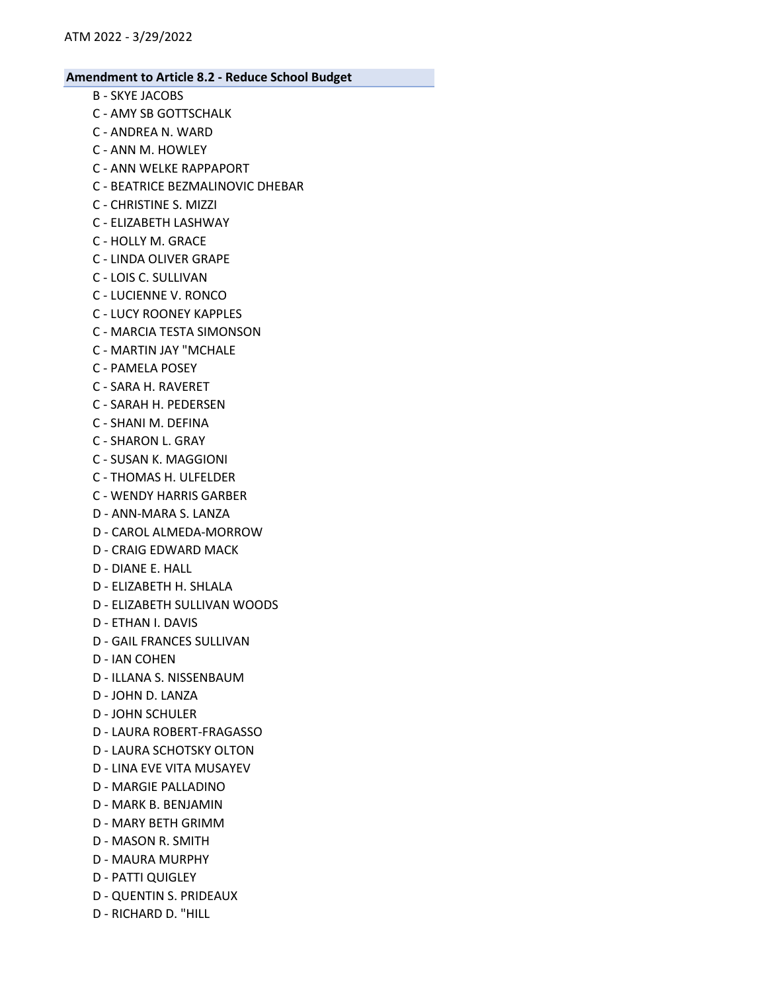- B SKYE JACOBS
- C AMY SB GOTTSCHALK
- C ANDREA N. WARD
- C ANN M. HOWLEY
- C ANN WELKE RAPPAPORT
- C BEATRICE BEZMALINOVIC DHEBAR
- C CHRISTINE S. MIZZI
- C ELIZABETH LASHWAY
- C HOLLY M. GRACE
- C LINDA OLIVER GRAPE
- C LOIS C. SULLIVAN
- C LUCIENNE V. RONCO
- C LUCY ROONEY KAPPLES
- C MARCIA TESTA SIMONSON
- C MARTIN JAY "MCHALE
- C PAMELA POSEY
- C SARA H. RAVERET
- C SARAH H. PEDERSEN
- C SHANI M. DEFINA
- C SHARON L. GRAY
- C SUSAN K. MAGGIONI
- C THOMAS H. ULFELDER
- C WENDY HARRIS GARBER
- D ANN-MARA S. LANZA
- D CAROL ALMEDA-MORROW
- D CRAIG EDWARD MACK
- D DIANE E. HALL
- D ELIZABETH H. SHLALA
- D ELIZABETH SULLIVAN WOODS
- D ETHAN I. DAVIS
- D GAIL FRANCES SULLIVAN
- D IAN COHEN
- D ILLANA S. NISSENBAUM
- D JOHN D. LANZA
- D JOHN SCHULER
- D LAURA ROBERT-FRAGASSO
- D LAURA SCHOTSKY OLTON
- D LINA EVE VITA MUSAYEV
- D MARGIE PALLADINO
- D MARK B. BENJAMIN
- D MARY BETH GRIMM
- D MASON R. SMITH
- D MAURA MURPHY
- D PATTI QUIGLEY
- D QUENTIN S. PRIDEAUX
- D RICHARD D. "HILL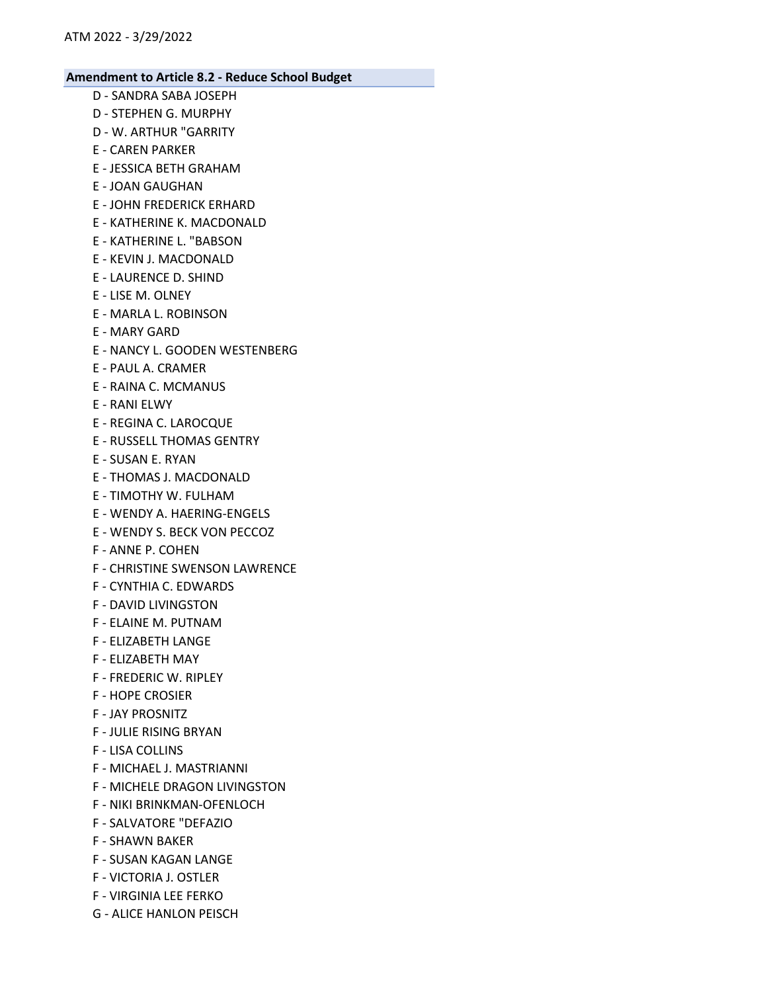- D SANDRA SABA JOSEPH
- D STEPHEN G. MURPHY
- D W. ARTHUR "GARRITY
- E CAREN PARKER
- E JESSICA BETH GRAHAM
- E JOAN GAUGHAN
- E JOHN FREDERICK ERHARD
- E KATHERINE K. MACDONALD
- E KATHERINE L. "BABSON
- E KEVIN J. MACDONALD
- E LAURENCE D. SHIND
- E LISE M. OLNEY
- E MARLA L. ROBINSON
- E MARY GARD
- E NANCY L. GOODEN WESTENBERG
- E PAUL A. CRAMER
- E RAINA C. MCMANUS
- E RANI ELWY
- E REGINA C. LAROCQUE
- E RUSSELL THOMAS GENTRY
- E SUSAN E. RYAN
- E THOMAS J. MACDONALD
- E TIMOTHY W. FULHAM
- E WENDY A. HAERING-ENGELS
- E WENDY S. BECK VON PECCOZ
- F ANNE P. COHEN
- F CHRISTINE SWENSON LAWRENCE
- F CYNTHIA C. EDWARDS
- F DAVID LIVINGSTON
- F ELAINE M. PUTNAM
- F ELIZABETH LANGE
- F ELIZABETH MAY
- F FREDERIC W. RIPLEY
- F HOPE CROSIER
- F JAY PROSNITZ
- F JULIE RISING BRYAN
- F LISA COLLINS
- F MICHAEL J. MASTRIANNI
- F MICHELE DRAGON LIVINGSTON
- F NIKI BRINKMAN-OFENLOCH
- F SALVATORE "DEFAZIO
- F SHAWN BAKER
- F SUSAN KAGAN LANGE
- F VICTORIA J. OSTLER
- F VIRGINIA LEE FERKO
- G ALICE HANLON PEISCH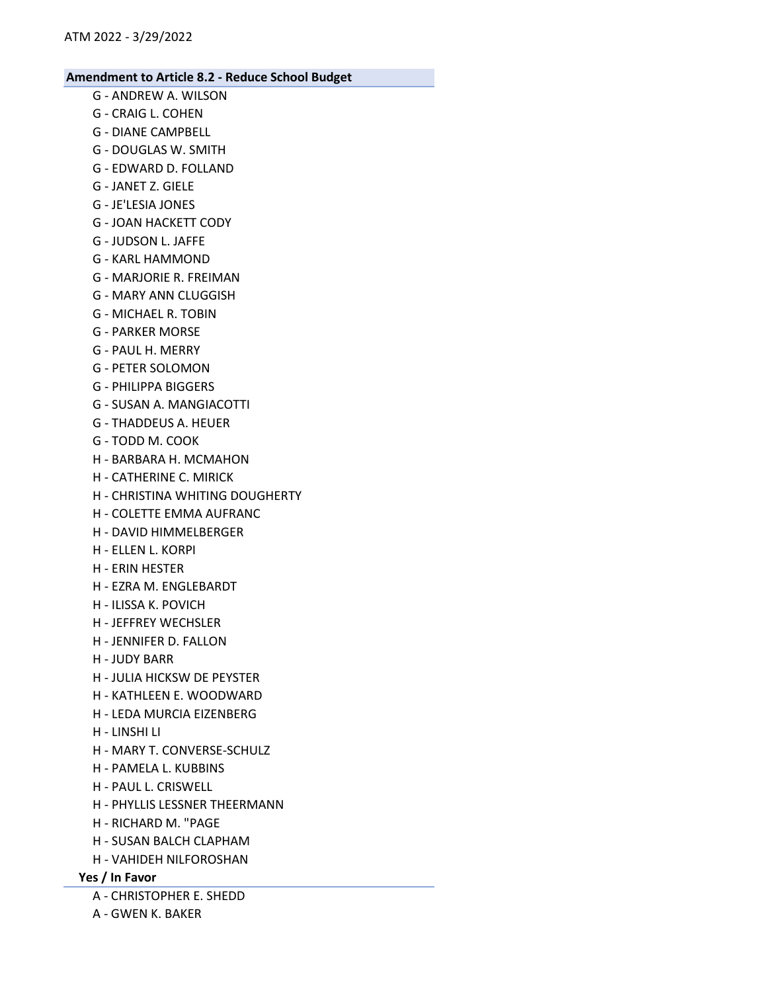- G ANDREW A. WILSON
- G CRAIG L. COHEN
- G DIANE CAMPBELL
- G DOUGLAS W. SMITH G - EDWARD D. FOLLAND
- G JANET Z. GIELE
- G JE'LESIA JONES
- G JOAN HACKETT CODY
- G JUDSON L. JAFFE
- G KARL HAMMOND
- G MARJORIE R. FREIMAN
- G MARY ANN CLUGGISH
- G MICHAEL R. TOBIN
- G PARKER MORSE
- G PAUL H. MERRY
- G PETER SOLOMON
- G PHILIPPA BIGGERS
- G SUSAN A. MANGIACOTTI
- G THADDEUS A. HEUER
- G TODD M. COOK
- H BARBARA H. MCMAHON
- H CATHERINE C. MIRICK
- H CHRISTINA WHITING DOUGHERTY
- H COLETTE EMMA AUFRANC
- H DAVID HIMMELBERGER
- H ELLEN L. KORPI
- H ERIN HESTER
- H EZRA M. ENGLEBARDT
- H ILISSA K. POVICH
- H JEFFREY WECHSLER
- H JENNIFER D. FALLON
- H JUDY BARR
- H JULIA HICKSW DE PEYSTER
- H KATHLEEN E. WOODWARD
- H LEDA MURCIA EIZENBERG
- H LINSHI LI
- H MARY T. CONVERSE-SCHULZ
- H PAMELA L. KUBBINS
- H PAUL L. CRISWELL
- H PHYLLIS LESSNER THEERMANN
- H RICHARD M. "PAGE
- H SUSAN BALCH CLAPHAM
- H VAHIDEH NILFOROSHAN
- Yes / In Favor
	- A CHRISTOPHER E. SHEDD
	- A GWEN K. BAKER